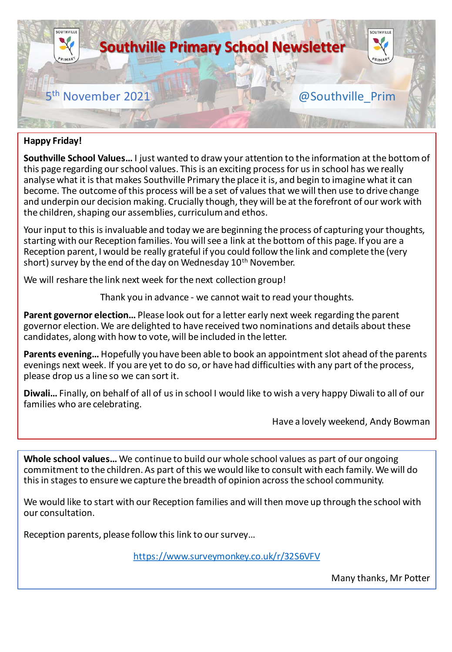

# **Happy Friday!**

**Southville School Values…** I just wanted to draw your attention to the information at the bottom of this page regarding our school values. This is an exciting process for us in school has we really analyse what it is that makes Southville Primary the place it is, and begin to imagine what it can become. The outcome of this process will be a set of values that we will then use to drive change and underpin our decision making. Crucially though, they will be at the forefront of our work with the children, shaping our assemblies, curriculum and ethos.

Your input to this is invaluable and today we are beginning the process of capturing your thoughts, starting with our Reception families. You will see a link at the bottom of this page. If you are a Reception parent, I would be really grateful if you could follow the link and complete the (very short) survey by the end of the day on Wednesday 10<sup>th</sup> November.

We will reshare the link next week for the next collection group!

Thank you in advance - we cannot wait to read your thoughts.

**Parent governor election…** Please look out for a letter early next week regarding the parent governor election. We are delighted to have received two nominations and details about these candidates, along with how to vote, will be included in the letter.

**Parents evening…** Hopefully you have been able to book an appointment slot ahead of the parents evenings next week. If you are yet to do so, or have had difficulties with any part of the process, please drop us a line so we can sort it.

**Diwali…** Finally, on behalf of all of us in school I would like to wish a very happy Diwali to all of our families who are celebrating.

Have a lovely weekend, Andy Bowman

**Whole school values…** We continue to build our whole school values as part of our ongoing commitment to the children. As part of this we would like to consult with each family. We will do this in stages to ensure we capture the breadth of opinion across the school community.

We would like to start with our Reception families and will then move up through the school with our consultation.

Reception parents, please follow this link to our survey…

https://www.surveymonkey.co.uk/r/32S6VFV

Many thanks, Mr Potter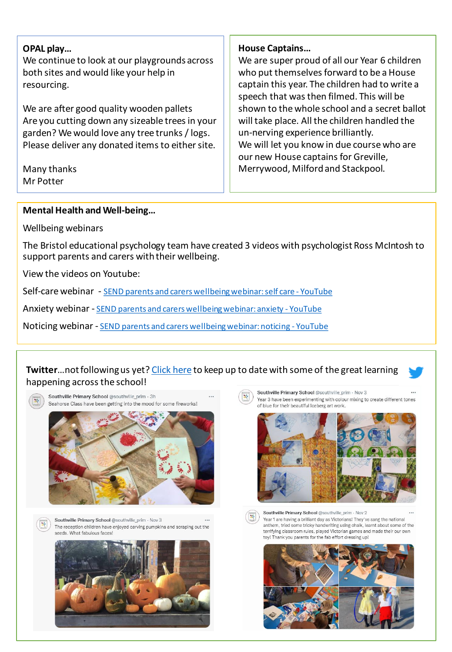## **OPAL play…**

We continue to look at our playgrounds across both sites and would like your help in resourcing.

We are after good quality wooden pallets Are you cutting down any sizeable trees in your garden? We would love any tree trunks / logs. Please deliver any donated items to either site.

Many thanks Mr Potter

#### **House Captains…**

We are super proud of all our Year 6 children who put themselves forward to be a House captain this year. The children had to write a speech that was then filmed. This will be shown to the whole school and a secret ballot will take place. All the children handled the un-nerving experience brilliantly. We will let you know in due course who are our new House captains for Greville, Merrywood, Milford and Stackpool.

### **Mental Health and Well-being…**

Wellbeing webinars

The Bristol educational psychology team have created 3 videos with psychologist Ross McIntosh to support parents and carers with their wellbeing.

View the videos on Youtube:

Self-care webinar - SEND parents and carers wellbeing webinar: self care - YouTube

Anxiety webinar - SEND parents and carers wellbeing webinar: anxiety - YouTube

Noticing webinar - SEND parents and carers wellbeing webinar: noticing - YouTube

# **Twitter**...not following us yet? Click here to keep up to date with some of the great learning happening across the school!



Southville Primary School @southville prim · Nov 3 Year 3 have been experimenting with colour mixing to create different tones of blue for their beautiful iceberg art work.



 $\mathbb{R}$ 

Southville Primary School @southville prim · Nov 2 Year 1 are having a brilliant day as Victorians! They've sang the national anthem, tried some tricky handwriting using chalk, learnt about some of the terrifying classroom rules, played Victorian games and made their our own toy! Thank you parents for the fab effort dressing up!

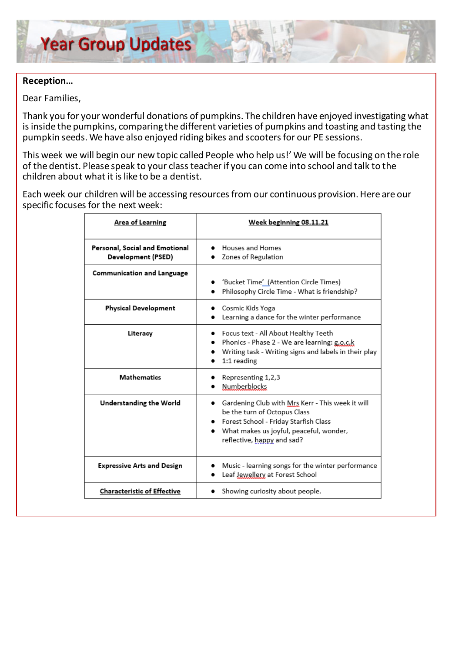# **Year Group Updates**

# **Reception…**

Dear Families,

Thank you for your wonderful donations of pumpkins. The children have enjoyed investigating what is inside the pumpkins, comparing the different varieties of pumpkins and toasting and tasting the pumpkin seeds. We have also enjoyed riding bikes and scooters for our PE sessions.

This week we will begin our new topic called People who help us!' We will be focusing on the role of the dentist. Please speak to your class teacher if you can come into school and talk to the children about what it is like to be a dentist.

Each week our children will be accessing resources from our continuous provision. Here are our specific focuses for the next week:

| Area of Learning                                     | Week beginning 08.11.21                                                                                                                                                                            |  |
|------------------------------------------------------|----------------------------------------------------------------------------------------------------------------------------------------------------------------------------------------------------|--|
| Personal, Social and Emotional<br>Development (PSED) | Houses and Homes<br>Zones of Regulation                                                                                                                                                            |  |
| <b>Communication and Language</b>                    | 'Bucket Time' (Attention Circle Times)<br>Philosophy Circle Time - What is friendship?                                                                                                             |  |
| <b>Physical Development</b>                          | Cosmic Kids Yoga<br>Learning a dance for the winter performance                                                                                                                                    |  |
| Literacy                                             | Focus text - All About Healthy Teeth<br>Phonics - Phase 2 - We are learning: g,o,c,k<br>Writing task - Writing signs and labels in their play<br>1:1 reading                                       |  |
| <b>Mathematics</b>                                   | Representing 1,2,3<br>Numberblocks                                                                                                                                                                 |  |
| Understanding the World                              | Gardening Club with Mrs Kerr - This week it will<br>be the turn of Octopus Class<br>Forest School - Friday Starfish Class<br>What makes us joyful, peaceful, wonder,<br>reflective, happy and sad? |  |
| <b>Expressive Arts and Design</b>                    | Music - learning songs for the winter performance<br>Leaf Jewellery at Forest School                                                                                                               |  |
| <b>Characteristic of Effective</b>                   | Showing curiosity about people.                                                                                                                                                                    |  |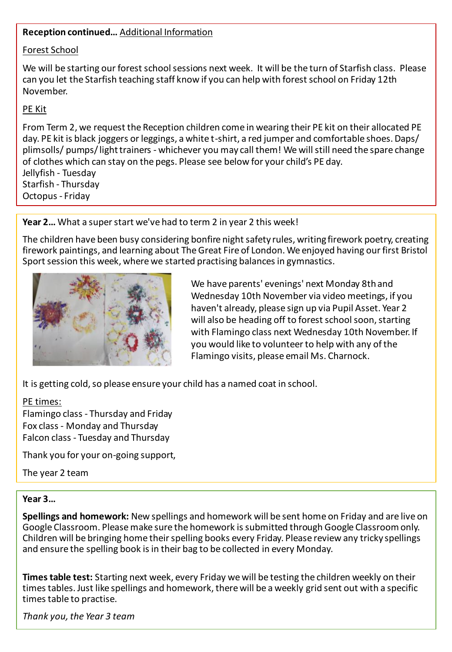# **Reception continued…** Additional Information

# Forest School

We will be starting our forest school sessions next week. It will be the turn of Starfish class. Please can you let the Starfish teaching staff know if you can help with forest school on Friday 12th November.

# PE Kit

From Term 2, we request the Reception children come in wearing their PE kit on their allocated PE day. PE kit is black joggers or leggings, a white t-shirt, a red jumper and comfortable shoes. Daps/ plimsolls/ pumps/ light trainers - whichever you may call them! We will still need the spare change of clothes which can stay on the pegs. Please see below for your child's PE day. Jellyfish - Tuesday Starfish - Thursday Octopus - Friday

**Year 2…** What a super start we've had to term 2 in year 2 this week!

The children have been busy considering bonfire night safety rules, writing firework poetry, creating firework paintings, and learning about The Great Fire of London. We enjoyed having our first Bristol Sport session this week, where we started practising balances in gymnastics.



We have parents' evenings' next Monday 8th and Wednesday 10th November via video meetings, if you haven't already, please sign up via Pupil Asset. Year 2 will also be heading off to forest school soon, starting with Flamingo class next Wednesday 10th November. If you would like to volunteer to help with any of the Flamingo visits, please email Ms. Charnock.

It is getting cold, so please ensure your child has a named coat in school.

PE times:

Flamingo class - Thursday and Friday Fox class - Monday and Thursday Falcon class - Tuesday and Thursday

Thank you for your on-going support,

The year 2 team

# **Year 3…**

**Spellings and homework:** New spellings and homework will be sent home on Friday and are live on Google Classroom. Please make sure the homework is submitted through Google Classroom only. Children will be bringing home their spelling books every Friday. Please review any tricky spellings and ensure the spelling book is in their bag to be collected in every Monday.

**Times table test:** Starting next week, every Friday we will be testing the children weekly on their times tables. Just like spellings and homework, there will be a weekly grid sent out with a specific times table to practise.

*Thank you, the Year 3 team*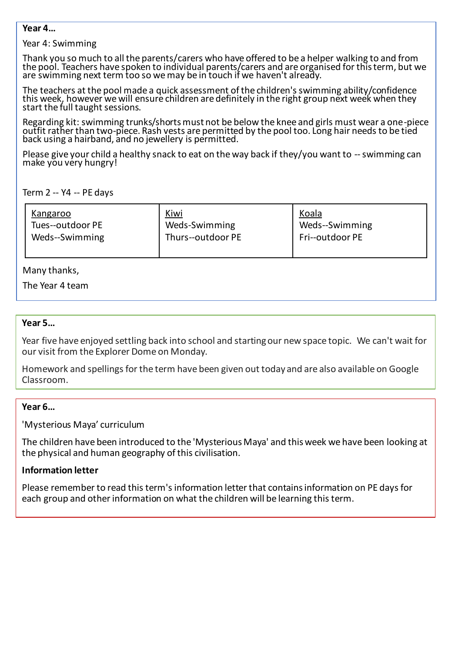#### **Year 4…**

#### Year 4: Swimming

Thank you so much to all the parents/carers who have offered to be a helper walking to and from the pool. Teachers have spoken to individual parents/carers and are organised for this term, but we are swimming next term too so we may be in touch if we haven't already.

The teachers at the pool made a quick assessment of the children's swimming ability/confidence this week, however we will ensure children are definitely in the right group next week when they start the full taught sessions.

Regarding kit: swimming trunks/shorts must not be below the knee and girls must wear a one-piece outfit rather than two-piece. Rash vests are permitted by the pool too. Long hair needs to be tied back using a hairband, and no jewellery is permitted.

Please give your child a healthy snack to eat on the way back if they/you want to -- swimming can make you very hungry!

#### Term 2 -- Y4 -- PE days

| Kangaroo         | <u>Kiwi</u>       | Koala           |
|------------------|-------------------|-----------------|
| Tues--outdoor PE | Weds-Swimming     | Weds--Swimming  |
| Weds--Swimming   | Thurs--outdoor PE | Fri--outdoor PE |
|                  |                   |                 |

#### Many thanks,

The Year 4 team

#### **Year 5…**

Year five have enjoyed settling back into school and starting our new space topic. We can't wait for our visit from the Explorer Dome on Monday.

Homework and spellings for the term have been given out today and are also available on Google Classroom.

#### **Year 6…**

'Mysterious Maya' curriculum

The children have been introduced to the 'Mysterious Maya' and this week we have been looking at the physical and human geography of this civilisation.

#### **Information letter**

Please remember to read this term's information letter that contains information on PE days for each group and other information on what the children will be learning this term.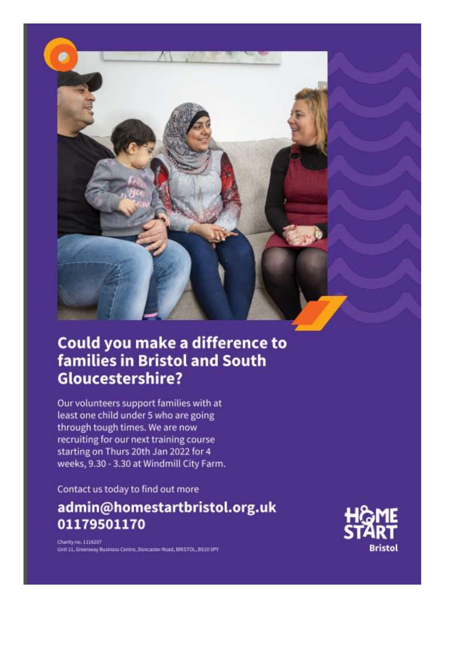

# Could you make a difference to families in Bristol and South Gloucestershire?

Our volunteers support families with at least one child under 5 who are going through tough times. We are now recruiting for our next training course starting on Thurs 20th Jan 2022 for 4 weeks, 9.30 - 3.30 at Windmill City Farm.

Contact us today to find out more

# admin@homestartbristol.org.uk 01179501170